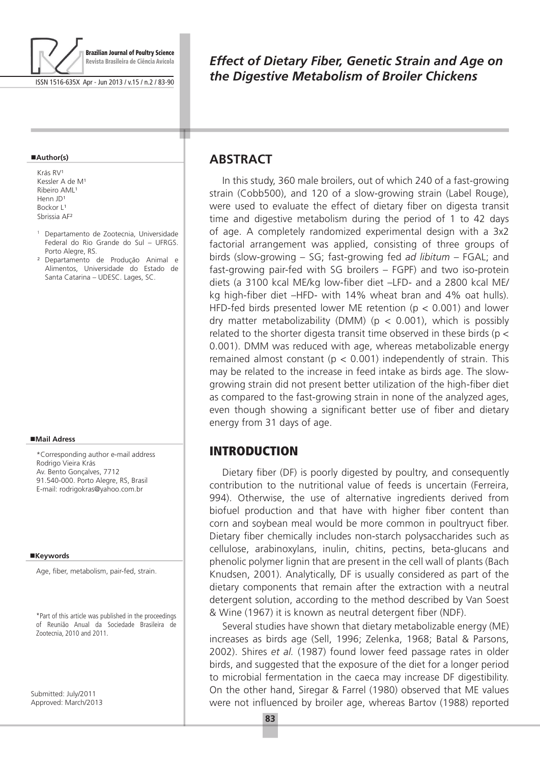

ISSN 1516-635X Apr - Jun 2013 / v.15 / n.2 / 83-90

#### **Author(s)**

Krás RV<sup>1</sup> Kessler A de M<sup>1</sup> Ribeiro AML<sup>1</sup> Henn JD<sup>1</sup> Bockor L1 Sbrissia AF²

- <sup>1</sup> Departamento de Zootecnia, Universidade Federal do Rio Grande do Sul – UFRGS. Porto Alegre, RS.
- ² Departamento de Produção Animal e Alimentos, Universidade do Estado de Santa Catarina – UDESC. Lages, SC.

#### **Mail Adress**

\*Corresponding author e-mail address Rodrigo Vieira Krás Av. Bento Gonçalves, 7712 91.540-000. Porto Alegre, RS, Brasil E-mail: rodrigokras@yahoo.com.br

#### ■Keywords

Age, fiber, metabolism, pair-fed, strain.

\*Part of this article was published in the proceedings of Reunião Anual da Sociedade Brasileira de Zootecnia, 2010 and 2011.

Submitted: July/2011 Approved: March/2013

## *Effect of Dietary Fiber, Genetic Strain and Age on the Digestive Metabolism of Broiler Chickens*

## **ABSTRACT**

т

In this study, 360 male broilers, out of which 240 of a fast-growing strain (Cobb500), and 120 of a slow-growing strain (Label Rouge), were used to evaluate the effect of dietary fiber on digesta transit time and digestive metabolism during the period of 1 to 42 days of age. A completely randomized experimental design with a 3x2 factorial arrangement was applied, consisting of three groups of birds (slow-growing – SG; fast-growing fed *ad libitum* – FGAL; and fast-growing pair-fed with SG broilers – FGPF) and two iso-protein diets (a 3100 kcal ME/kg low-fiber diet –LFD- and a 2800 kcal ME/ kg high-fiber diet –HFD- with 14% wheat bran and 4% oat hulls). HFD-fed birds presented lower ME retention ( $p < 0.001$ ) and lower dry matter metabolizability (DMM) ( $p < 0.001$ ), which is possibly related to the shorter digesta transit time observed in these birds ( $p <$ 0.001). DMM was reduced with age, whereas metabolizable energy remained almost constant ( $p < 0.001$ ) independently of strain. This may be related to the increase in feed intake as birds age. The slowgrowing strain did not present better utilization of the high-fiber diet as compared to the fast-growing strain in none of the analyzed ages, even though showing a significant better use of fiber and dietary energy from 31 days of age.

### INTRODUCTION

Dietary fiber (DF) is poorly digested by poultry, and consequently contribution to the nutritional value of feeds is uncertain (Ferreira, 994). Otherwise, the use of alternative ingredients derived from biofuel production and that have with higher fiber content than corn and soybean meal would be more common in poultryuct fiber. Dietary fiber chemically includes non-starch polysaccharides such as cellulose, arabinoxylans, inulin, chitins, pectins, beta-glucans and phenolic polymer lignin that are present in the cell wall of plants (Bach Knudsen, 2001). Analytically, DF is usually considered as part of the dietary components that remain after the extraction with a neutral detergent solution, according to the method described by Van Soest & Wine (1967) it is known as neutral detergent fiber (NDF).

Several studies have shown that dietary metabolizable energy (ME) increases as birds age (Sell, 1996; Zelenka, 1968; Batal & Parsons, 2002). Shires *et al.* (1987) found lower feed passage rates in older birds, and suggested that the exposure of the diet for a longer period to microbial fermentation in the caeca may increase DF digestibility. On the other hand, Siregar & Farrel (1980) observed that ME values were not influenced by broiler age, whereas Bartov (1988) reported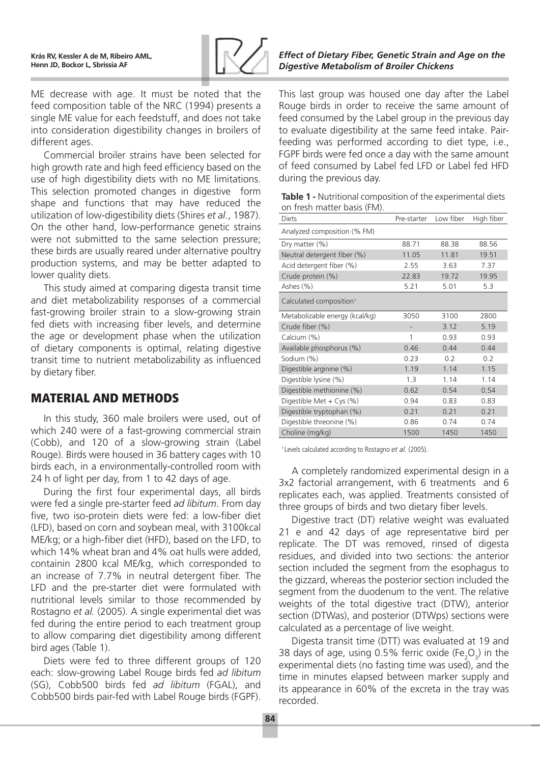

ME decrease with age. It must be noted that the feed composition table of the NRC (1994) presents a single ME value for each feedstuff, and does not take into consideration digestibility changes in broilers of different ages.

Commercial broiler strains have been selected for high growth rate and high feed efficiency based on the use of high digestibility diets with no ME limitations. This selection promoted changes in digestive form shape and functions that may have reduced the utilization of low-digestibility diets (Shires *et al.*, 1987). On the other hand, low-performance genetic strains were not submitted to the same selection pressure; these birds are usually reared under alternative poultry production systems, and may be better adapted to lower quality diets.

This study aimed at comparing digesta transit time and diet metabolizability responses of a commercial fast-growing broiler strain to a slow-growing strain fed diets with increasing fiber levels, and determine the age or development phase when the utilization of dietary components is optimal, relating digestive transit time to nutrient metabolizability as influenced by dietary fiber.

## MATERIAL AND METHODS

In this study, 360 male broilers were used, out of which 240 were of a fast-growing commercial strain (Cobb), and 120 of a slow-growing strain (Label Rouge). Birds were housed in 36 battery cages with 10 birds each, in a environmentally-controlled room with 24 h of light per day, from 1 to 42 days of age.

During the first four experimental days, all birds were fed a single pre-starter feed *ad libitum*. From day five, two iso-protein diets were fed: a low-fiber diet (LFD), based on corn and soybean meal, with 3100kcal ME/kg; or a high-fiber diet (HFD), based on the LFD, to which 14% wheat bran and 4% oat hulls were added, containin 2800 kcal ME/kg, which corresponded to an increase of 7.7% in neutral detergent fiber. The LFD and the pre-starter diet were formulated with nutritional levels similar to those recommended by Rostagno *et al.* (2005). A single experimental diet was fed during the entire period to each treatment group to allow comparing diet digestibility among different bird ages (Table 1).

Diets were fed to three different groups of 120 each: slow-growing Label Rouge birds fed *ad libitum*  (SG), Cobb500 birds fed *ad libitum* (FGAL), and Cobb500 birds pair-fed with Label Rouge birds (FGPF).

#### *Effect of Dietary Fiber, Genetic Strain and Age on the Digestive Metabolism of Broiler Chickens*

This last group was housed one day after the Label Rouge birds in order to receive the same amount of feed consumed by the Label group in the previous day to evaluate digestibility at the same feed intake. Pairfeeding was performed according to diet type, i.e., FGPF birds were fed once a day with the same amount of feed consumed by Label fed LFD or Label fed HFD during the previous day.

| Table 1 - Nutritional composition of the experimental diets |
|-------------------------------------------------------------|
| on fresh matter basis (FM).                                 |

| <b>Diets</b>                        | Pre-starter | Low fiber | High fiber |
|-------------------------------------|-------------|-----------|------------|
| Analyzed composition (% FM)         |             |           |            |
| Dry matter (%)                      | 88.71       | 88.38     | 88.56      |
| Neutral detergent fiber (%)         | 11.05       | 11.81     | 19.51      |
| Acid detergent fiber (%)            | 2.55        | 3.63      | 7.37       |
| Crude protein (%)                   | 22.83       | 19.72     | 19.95      |
| Ashes (%)                           | 5.21        | 5.01      | 5.3        |
| Calculated composition <sup>1</sup> |             |           |            |
| Metabolizable energy (kcal/kg)      | 3050        | 3100      | 2800       |
| Crude fiber (%)                     |             | 3.12      | 5.19       |
| Calcium (%)                         | 1           | 0.93      | 0.93       |
| Available phosphorus (%)            | 0.46        | 0.44      | 0.44       |
| Sodium (%)                          | 0.23        | 0.2       | 0.2        |
| Digestible arginine (%)             | 1.19        | 1.14      | 1.15       |
| Digestible lysine (%)               | 1.3         | 1.14      | 1.14       |
| Digestible methionine (%)           | 0.62        | 0.54      | 0.54       |
| Digestible Met + $Cys$ (%)          | 0.94        | 0.83      | 0.83       |
| Digestible tryptophan (%)           | 0.21        | 0.21      | 0.21       |
| Digestible threonine (%)            | 0.86        | 0.74      | 0.74       |
| Choline (mg/kg)                     | 1500        | 1450      | 1450       |

1 Levels calculated according to Rostagno *et al.* (2005).

A completely randomized experimental design in a 3x2 factorial arrangement, with 6 treatments and 6 replicates each, was applied. Treatments consisted of three groups of birds and two dietary fiber levels.

Digestive tract (DT) relative weight was evaluated 21 e and 42 days of age representative bird per replicate. The DT was removed, rinsed of digesta residues, and divided into two sections: the anterior section included the segment from the esophagus to the gizzard, whereas the posterior section included the segment from the duodenum to the vent. The relative weights of the total digestive tract (DTW), anterior section (DTWas), and posterior (DTWps) sections were calculated as a percentage of live weight.

Digesta transit time (DTT) was evaluated at 19 and 38 days of age, using 0.5% ferric oxide  $(Fe<sub>2</sub>O<sub>3</sub>)$  in the experimental diets (no fasting time was used), and the time in minutes elapsed between marker supply and its appearance in 60% of the excreta in the tray was recorded.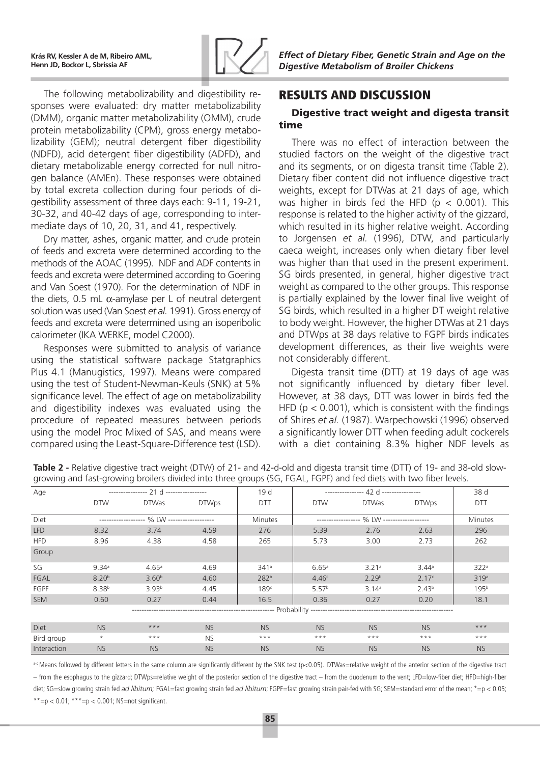

The following metabolizability and digestibility responses were evaluated: dry matter metabolizability (DMM), organic matter metabolizability (OMM), crude protein metabolizability (CPM), gross energy metabolizability (GEM); neutral detergent fiber digestibility (NDFD), acid detergent fiber digestibility (ADFD), and dietary metabolizable energy corrected for null nitrogen balance (AMEn). These responses were obtained by total excreta collection during four periods of digestibility assessment of three days each: 9-11, 19-21, 30-32, and 40-42 days of age, corresponding to intermediate days of 10, 20, 31, and 41, respectively.

Dry matter, ashes, organic matter, and crude protein of feeds and excreta were determined according to the methods of the AOAC (1995). NDF and ADF contents in feeds and excreta were determined according to Goering and Van Soest (1970). For the determination of NDF in the diets, 0.5 mL  $α$ -amylase per L of neutral detergent solution was used (Van Soest *et al.* 1991). Gross energy of feeds and excreta were determined using an isoperibolic calorimeter (IKA WERKE, model C2000).

Responses were submitted to analysis of variance using the statistical software package Statgraphics Plus 4.1 (Manugistics, 1997). Means were compared using the test of Student-Newman-Keuls (SNK) at 5% significance level. The effect of age on metabolizability and digestibility indexes was evaluated using the procedure of repeated measures between periods using the model Proc Mixed of SAS, and means were compared using the Least-Square-Difference test (LSD).

## RESULTS AND DISCUSSION

#### Digestive tract weight and digesta transit time

There was no effect of interaction between the studied factors on the weight of the digestive tract and its segments, or on digesta transit time (Table 2). Dietary fiber content did not influence digestive tract weights, except for DTWas at 21 days of age, which was higher in birds fed the HFD ( $p < 0.001$ ). This response is related to the higher activity of the gizzard, which resulted in its higher relative weight. According to Jorgensen *et al.* (1996), DTW, and particularly caeca weight, increases only when dietary fiber level was higher than that used in the present experiment. SG birds presented, in general, higher digestive tract weight as compared to the other groups. This response is partially explained by the lower final live weight of SG birds, which resulted in a higher DT weight relative to body weight. However, the higher DTWas at 21 days and DTWps at 38 days relative to FGPF birds indicates development differences, as their live weights were not considerably different.

Digesta transit time (DTT) at 19 days of age was not significantly influenced by dietary fiber level. However, at 38 days, DTT was lower in birds fed the HFD ( $p < 0.001$ ), which is consistent with the findings of Shires *et al.* (1987). Warpechowski (1996) observed a significantly lower DTT when feeding adult cockerels with a diet containing 8.3% higher NDF levels as

| Age         |                   | ---------------- 21 d ----------------- |              | 19d              | ---------------- $42d$ ---------------- | 38 d              |                   |                  |
|-------------|-------------------|-----------------------------------------|--------------|------------------|-----------------------------------------|-------------------|-------------------|------------------|
|             | <b>DTW</b>        | <b>DTWas</b>                            | <b>DTWps</b> | <b>DTT</b>       | <b>DTW</b>                              | <b>DTWas</b>      | <b>DTWps</b>      | <b>DTT</b>       |
| Diet        |                   |                                         |              | Minutes          |                                         |                   |                   | Minutes          |
| <b>LFD</b>  | 8.32              | 3.74                                    | 4.59         | 276              | 5.39                                    | 2.76              | 2.63              | 296              |
| <b>HFD</b>  | 8.96              | 4.38                                    | 4.58         | 265              | 5.73                                    | 3.00              | 2.73              | 262              |
| Group       |                   |                                         |              |                  |                                         |                   |                   |                  |
| SG          | 9.34a             | 4.65a                                   | 4.69         | 341a             | 6.65a                                   | 3.21a             | $3.44^{\circ}$    | 322 <sup>a</sup> |
| FGAL        | 8.20 <sup>b</sup> | 3.60 <sup>b</sup>                       | 4.60         | 282 <sup>b</sup> | 4.46c                                   | 2.29 <sup>b</sup> | 2.17c             | 319a             |
| FGPF        | 8.38 <sup>b</sup> | 3.93 <sup>b</sup>                       | 4.45         | 189c             | 5.57 <sup>b</sup>                       | 3.14 <sup>a</sup> | 2.43 <sup>b</sup> | 195 <sup>b</sup> |
| <b>SEM</b>  | 0.60              | 0.27                                    | 0.44         | 16.5             | 0.36                                    | 0.27              | 0.20              | 18.1             |
|             |                   |                                         |              |                  |                                         |                   |                   |                  |
| <b>Diet</b> | <b>NS</b>         | $***$                                   | <b>NS</b>    | <b>NS</b>        | <b>NS</b>                               | <b>NS</b>         | <b>NS</b>         | $***$            |
| Bird group  | $\star$           | $***$                                   | <b>NS</b>    | $***$            | $***$                                   | $***$             | $***$             | $***$            |
| Interaction | <b>NS</b>         | <b>NS</b>                               | <b>NS</b>    | <b>NS</b>        | <b>NS</b>                               | <b>NS</b>         | <b>NS</b>         | <b>NS</b>        |

**Table 2 -** Relative digestive tract weight (DTW) of 21- and 42-d-old and digesta transit time (DTT) of 19- and 38-old slowgrowing and fast-growing broilers divided into three groups (SG, FGAL, FGPF) and fed diets with two fiber levels.

a-c Means followed by different letters in the same column are significantly different by the SNK test (p<0.05). DTWas=relative weight of the anterior section of the digestive tract – from the esophagus to the gizzard; DTWps=relative weight of the posterior section of the digestive tract – from the duodenum to the vent; LFD=low-fiber diet; HFD=high-fiber diet; SG=slow growing strain fed *ad libitum;* FGAL=fast growing strain fed *ad libitum*; FGPF=fast growing strain pair-fed with SG; SEM=standard error of the mean; \*=p < 0.05; \*\*=p < 0.01; \*\*\*=p < 0.001; NS=not significant.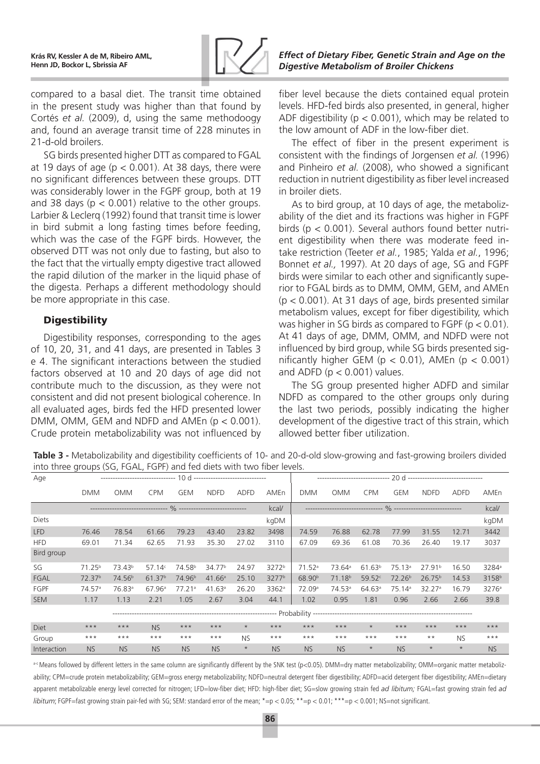

*Effect of Dietary Fiber, Genetic Strain and Age on the Digestive Metabolism of Broiler Chickens*

compared to a basal diet. The transit time obtained in the present study was higher than that found by Cortés *et al.* (2009), d, using the same methodoogy and, found an average transit time of 228 minutes in 21-d-old broilers.

SG birds presented higher DTT as compared to FGAL at 19 days of age ( $p < 0.001$ ). At 38 days, there were no significant differences between these groups. DTT was considerably lower in the FGPF group, both at 19 and 38 days ( $p < 0.001$ ) relative to the other groups. Larbier & Leclerq (1992) found that transit time is lower in bird submit a long fasting times before feeding, which was the case of the FGPF birds. However, the observed DTT was not only due to fasting, but also to the fact that the virtually empty digestive tract allowed the rapid dilution of the marker in the liquid phase of the digesta. Perhaps a different methodology should be more appropriate in this case.

#### **Digestibility**

Digestibility responses, corresponding to the ages of 10, 20, 31, and 41 days, are presented in Tables 3 e 4. The significant interactions between the studied factors observed at 10 and 20 days of age did not contribute much to the discussion, as they were not consistent and did not present biological coherence. In all evaluated ages, birds fed the HFD presented lower DMM, OMM, GEM and NDFD and AMEn (p < 0.001). Crude protein metabolizability was not influenced by

fiber level because the diets contained equal protein levels. HFD-fed birds also presented, in general, higher ADF digestibility ( $p < 0.001$ ), which may be related to the low amount of ADF in the low-fiber diet.

The effect of fiber in the present experiment is consistent with the findings of Jorgensen *et al.* (1996) and Pinheiro *et al.* (2008), who showed a significant reduction in nutrient digestibility as fiber level increased in broiler diets.

As to bird group, at 10 days of age, the metabolizability of the diet and its fractions was higher in FGPF birds (p < 0.001). Several authors found better nutrient digestibility when there was moderate feed intake restriction (Teeter *et al.*, 1985; Yalda *et al.*, 1996; Bonnet *et al.,* 1997). At 20 days of age, SG and FGPF birds were similar to each other and significantly superior to FGAL birds as to DMM, OMM, GEM, and AMEn  $(p < 0.001)$ . At 31 days of age, birds presented similar metabolism values, except for fiber digestibility, which was higher in SG birds as compared to FGPF ( $p < 0.01$ ). At 41 days of age, DMM, OMM, and NDFD were not influenced by bird group, while SG birds presented significantly higher GEM ( $p < 0.01$ ), AMEn ( $p < 0.001$ ) and ADFD ( $p < 0.001$ ) values.

The SG group presented higher ADFD and similar NDFD as compared to the other groups only during the last two periods, possibly indicating the higher development of the digestive tract of this strain, which allowed better fiber utilization.

**Table 3 -** Metabolizability and digestibility coefficients of 10- and 20-d-old slow-growing and fast-growing broilers divided into three groups (SG, FGAL, FGPF) and fed diets with two fiber levels.

| Age         |                    |                    |                    |                    | $10d$ -------------------------------- |             |                   |                    | ------------------------------ |                    |                    | 20 d -------------------------------- |             |                   |
|-------------|--------------------|--------------------|--------------------|--------------------|----------------------------------------|-------------|-------------------|--------------------|--------------------------------|--------------------|--------------------|---------------------------------------|-------------|-------------------|
|             | <b>DMM</b>         | <b>OMM</b>         | <b>CPM</b>         | <b>GEM</b>         | <b>NDFD</b>                            | <b>ADFD</b> | AMEn              | <b>DMM</b>         | <b>OMM</b>                     | <b>CPM</b>         | GEM                | <b>NDFD</b>                           | <b>ADFD</b> | AMEn              |
|             |                    |                    |                    |                    |                                        |             |                   |                    |                                |                    |                    |                                       | kcal/       |                   |
| Diets       |                    |                    |                    |                    |                                        |             | kgDM              |                    |                                |                    |                    |                                       |             | kgDM              |
| <b>LFD</b>  | 76.46              | 78.54              | 61.66              | 79.23              | 43.40                                  | 23.82       | 3498              | 74.59              | 76.88                          | 62.78              | 77.99              | 31.55                                 | 12.71       | 3442              |
| <b>HFD</b>  | 69.01              | 71.34              | 62.65              | 71.93              | 35.30                                  | 27.02       | 3110              | 67.09              | 69.36                          | 61.08              | 70.36              | 26.40                                 | 19.17       | 3037              |
| Bird group  |                    |                    |                    |                    |                                        |             |                   |                    |                                |                    |                    |                                       |             |                   |
| SG          | 71.25 <sup>b</sup> | 73.43 <sup>b</sup> | 57.14c             | 74.58 <sup>b</sup> | 34.77 <sup>b</sup>                     | 24.97       | 3272 <sup>b</sup> | 71.52a             | 73.64 <sup>a</sup>             | 61.63 <sup>b</sup> | 75.13a             | 27.91 <sup>b</sup>                    | 16.50       | 3284 <sup>a</sup> |
| FGAL        | 72.37 <sup>b</sup> | 74.56 <sup>b</sup> | 61.37 <sup>b</sup> | 74.96 <sup>b</sup> | 41.66a                                 | 25.10       | 3277 <sup>b</sup> | 68.90 <sup>b</sup> | 71.18 <sup>b</sup>             | 59.52c             | 72.26 <sup>b</sup> | 26.75 <sup>b</sup>                    | 14.53       | 3158 <sup>b</sup> |
| FGPF        | 74.57a             | 76.83 <sup>a</sup> | 67.96a             | 77.21a             | 41.63a                                 | 26.20       | 3362ª             | 72.09 <sup>a</sup> | 74.53 <sup>a</sup>             | 64.63a             | 75.14 <sup>a</sup> | 32.27a                                | 16.79       | 3276 <sup>a</sup> |
| <b>SEM</b>  | 1.17               | 1.13               | 2.21               | 1.05               | 2.67                                   | 3.04        | 44.1              | 1.02               | 0.95                           | 1.81               | 0.96               | 2.66                                  | 2.66        | 39.8              |
|             |                    |                    |                    |                    |                                        |             |                   |                    |                                |                    |                    |                                       |             |                   |
| <b>Diet</b> | $***$              | $***$              | <b>NS</b>          | $***$              | $***$                                  | $\star$     | $***$             | $***$              | $***$                          | $\star$            | $***$              | $***$                                 | $***$       | $***$             |
| Group       | $***$              | $***$              | $***$              | $***$              | $***$                                  | <b>NS</b>   | $***$             | $***$              | $***$                          | $***$              | $***$              | $\star\star$                          | <b>NS</b>   | $***$             |
| Interaction | <b>NS</b>          | <b>NS</b>          | <b>NS</b>          | <b>NS</b>          | <b>NS</b>                              | $\star$     | <b>NS</b>         | <b>NS</b>          | <b>NS</b>                      | $\star$            | <b>NS</b>          | $\star$                               | $\star$     | <b>NS</b>         |

a-c Means followed by different letters in the same column are significantly different by the SNK test (p<0.05). DMM=dry matter metabolizability; OMM=organic matter metabolizability; CPM=crude protein metabolizability; GEM=gross energy metabolizability; NDFD=neutral detergent fiber digestibility; ADFD=acid detergent fiber digestibility; AMEn=dietary apparent metabolizable energy level corrected for nitrogen; LFD=low-fiber diet; HFD: high-fiber diet; SG=slow growing strain fed *ad libitum;* FGAL=fast growing strain fed *ad libitum*; FGPF=fast growing strain pair-fed with SG; SEM: standard error of the mean; \*=p < 0.05; \*\*=p < 0.01; \*\*\*=p < 0.001; NS=not significant.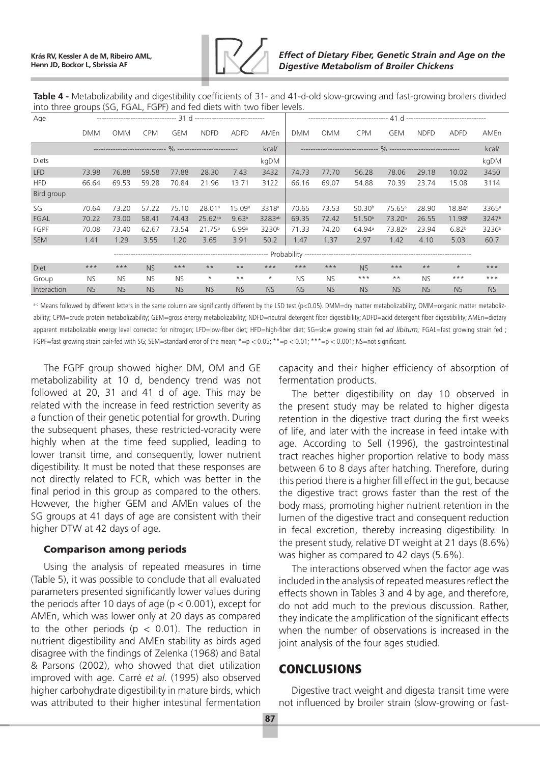

**Table 4 -** Metabolizability and digestibility coefficients of 31- and 41-d-old slow-growing and fast-growing broilers divided into three groups (SG, FGAL, FGPF) and fed diets with two fiber levels.

| Age         |            |            |            |            |              |                   |                   |            |            |                    |                    |             |                    |                   |
|-------------|------------|------------|------------|------------|--------------|-------------------|-------------------|------------|------------|--------------------|--------------------|-------------|--------------------|-------------------|
|             | <b>DMM</b> | <b>OMM</b> | <b>CPM</b> | <b>GEM</b> | <b>NDFD</b>  | <b>ADFD</b>       | AMEn              | <b>DMM</b> | <b>OMM</b> | <b>CPM</b>         | <b>GEM</b>         | <b>NDFD</b> | ADFD               | AMEn              |
|             |            |            |            |            |              |                   | kcal/             |            |            |                    |                    |             |                    | kcal/             |
| Diets       |            |            |            |            |              |                   | kgDM              |            |            |                    |                    |             |                    | kgDM              |
| <b>LFD</b>  | 73.98      | 76.88      | 59.58      | 77.88      | 28.30        | 7.43              | 3432              | 74.73      | 77.70      | 56.28              | 78.06              | 29.18       | 10.02              | 3450              |
| <b>HFD</b>  | 66.64      | 69.53      | 59.28      | 70.84      | 21.96        | 13.71             | 3122              | 66.16      | 69.07      | 54.88              | 70.39              | 23.74       | 15.08              | 3114              |
| Bird group  |            |            |            |            |              |                   |                   |            |            |                    |                    |             |                    |                   |
| SG          | 70.64      | 73.20      | 57.22      | 75.10      | 28.01a       | 15.09a            | 3318 <sup>a</sup> | 70.65      | 73.53      | 50.30 <sup>b</sup> | 75.65a             | 28.90       | 18.84 <sup>a</sup> | 3365 <sup>a</sup> |
| FGAL        | 70.22      | 73.00      | 58.41      | 74.43      | $25.62^{ab}$ | 9.63 <sup>b</sup> | 3283ab            | 69.35      | 72.42      | 51.50 <sup>b</sup> | 73.20 <sup>b</sup> | 26.55       | 11.98 <sup>b</sup> | 3247 <sup>b</sup> |
| FGPF        | 70.08      | 73.40      | 62.67      | 73.54      | $21.75^{b}$  | 6.99 <sup>b</sup> | 3230 <sup>b</sup> | 71.33      | 74.20      | 64.94 <sup>a</sup> | 73.82 <sup>b</sup> | 23.94       | 6.82 <sup>b</sup>  | 3236 <sup>b</sup> |
| <b>SEM</b>  | 1.41       | 1.29       | 3.55       | 1.20       | 3.65         | 3.91              | 50.2              | 1.47       | 1.37       | 2.97               | 1.42               | 4.10        | 5.03               | 60.7              |
|             |            |            |            |            |              |                   |                   |            |            |                    |                    |             |                    |                   |
| Diet        | $***$      | $***$      | <b>NS</b>  | $***$      | $***$        | $**$              | $***$             | $***$      | $***$      | <b>NS</b>          | $***$              | $* *$       | $\star$            | $***$             |
| Group       | <b>NS</b>  | <b>NS</b>  | <b>NS</b>  | <b>NS</b>  | $\star$      | $***$             | $\star$           | <b>NS</b>  | <b>NS</b>  | $***$              | $***$              | <b>NS</b>   | $***$              | $***$             |
| Interaction | <b>NS</b>  | <b>NS</b>  | <b>NS</b>  | <b>NS</b>  | <b>NS</b>    | <b>NS</b>         | <b>NS</b>         | <b>NS</b>  | <b>NS</b>  | <b>NS</b>          | <b>NS</b>          | <b>NS</b>   | <b>NS</b>          | <b>NS</b>         |

a-c Means followed by different letters in the same column are significantly different by the LSD test (p<0.05). DMM=dry matter metabolizability; OMM=organic matter metabolizability; CPM=crude protein metabolizability; GEM=gross energy metabolizability; NDFD=neutral detergent fiber digestibility; ADFD=acid detergent fiber digestibility; AMEn=dietary apparent metabolizable energy level corrected for nitrogen; LFD=low-fiber diet; HFD=high-fiber diet; SG=slow growing strain fed *ad libitum;* FGAL=fast growing strain fed; FGPF=fast growing strain pair-fed with SG; SEM=standard error of the mean; \*=p < 0.05; \*\*=p < 0.01; \*\*\*=p < 0.001; NS=not significant.

The FGPF group showed higher DM, OM and GE metabolizability at 10 d, bendency trend was not followed at 20, 31 and 41 d of age. This may be related with the increase in feed restriction severity as a function of their genetic potential for growth. During the subsequent phases, these restricted-voracity were highly when at the time feed supplied, leading to lower transit time, and consequently, lower nutrient digestibility. It must be noted that these responses are not directly related to FCR, which was better in the final period in this group as compared to the others. However, the higher GEM and AMEn values of the SG groups at 41 days of age are consistent with their higher DTW at 42 days of age.

#### Comparison among periods

Using the analysis of repeated measures in time (Table 5), it was possible to conclude that all evaluated parameters presented significantly lower values during the periods after 10 days of age ( $p < 0.001$ ), except for AMEn, which was lower only at 20 days as compared to the other periods ( $p < 0.01$ ). The reduction in nutrient digestibility and AMEn stability as birds aged disagree with the findings of Zelenka (1968) and Batal & Parsons (2002), who showed that diet utilization improved with age. Carré *et al.* (1995) also observed higher carbohydrate digestibility in mature birds, which was attributed to their higher intestinal fermentation

capacity and their higher efficiency of absorption of fermentation products.

The better digestibility on day 10 observed in the present study may be related to higher digesta retention in the digestive tract during the first weeks of life, and later with the increase in feed intake with age. According to Sell (1996), the gastrointestinal tract reaches higher proportion relative to body mass between 6 to 8 days after hatching. Therefore, during this period there is a higher fill effect in the gut, because the digestive tract grows faster than the rest of the body mass, promoting higher nutrient retention in the lumen of the digestive tract and consequent reduction in fecal excretion, thereby increasing digestibility. In the present study, relative DT weight at 21 days (8.6%) was higher as compared to 42 days (5.6%).

The interactions observed when the factor age was included in the analysis of repeated measures reflect the effects shown in Tables 3 and 4 by age, and therefore, do not add much to the previous discussion. Rather, they indicate the amplification of the significant effects when the number of observations is increased in the joint analysis of the four ages studied.

### **CONCLUSIONS**

Digestive tract weight and digesta transit time were not influenced by broiler strain (slow-growing or fast-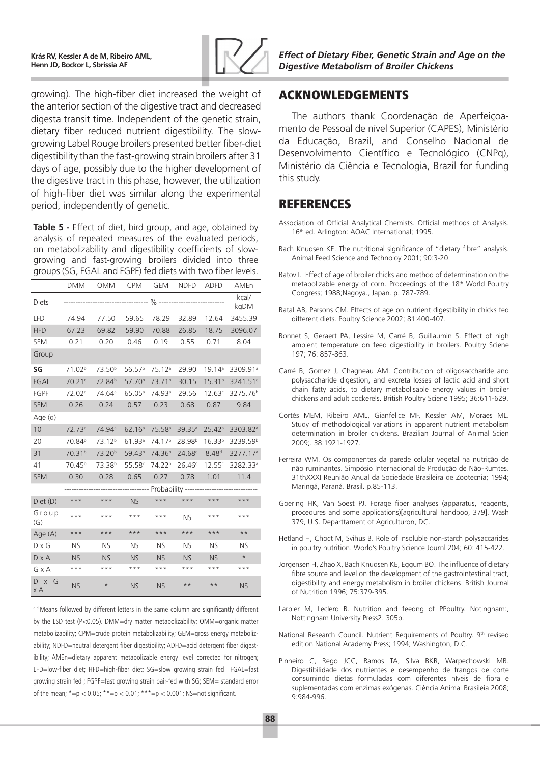

*Effect of Dietary Fiber, Genetic Strain and Age on the Digestive Metabolism of Broiler Chickens*

# ACKNOWLEDGEMENTS

The authors thank Coordenação de Aperfeiçoamento de Pessoal de nível Superior (CAPES), Ministério da Educação, Brazil, and Conselho Nacional de Desenvolvimento Científico e Tecnológico (CNPq), Ministério da Ciência e Tecnologia, Brazil for funding this study.

### REFERENCES

- Association of Official Analytical Chemists. Official methods of Analysis. 16<sup>th</sup> ed. Arlington: AOAC International; 1995.
- Bach Knudsen KE. The nutritional significance of "dietary fibre" analysis. Animal Feed Science and Technoloy 2001; 90:3-20.
- Batov I. Effect of age of broiler chicks and method of determination on the metabolizable energy of corn. Proceedings of the 18<sup>th</sup> World Poultry Congress; 1988;Nagoya., Japan. p. 787-789.
- Batal AB, Parsons CM. Effects of age on nutrient digestibility in chicks fed different diets. Poultry Science 2002; 81:400-407.
- Bonnet S, Geraert PA, Lessire M, Carré B, Guillaumin S. Effect of high ambient temperature on feed digestibility in broilers. Poultry Sciene 197; 76: 857-863.
- Carré B, Gomez J, Chagneau AM. Contribution of oligosaccharide and polysaccharide digestion, and excreta losses of lactic acid and short chain fatty acids, to dietary metabolisable energy values in broiler chickens and adult cockerels. British Poultry Sciene 1995; 36:611-629.
- Cortés MEM, Ribeiro AML, Gianfelice MF, Kessler AM, Moraes ML. Study of methodological variations in apparent nutrient metabolism determination in broiler chickens. Brazilian Journal of Animal Scien 2009;. 38:1921-1927.
- Ferreira WM. Os componentes da parede celular vegetal na nutrição de não ruminantes. Simpósio Internacional de Produção de Não-Rumtes. 31thXXXI Reunião Anual da Sociedade Brasileira de Zootecnia; 1994; Maringá, Paraná. Brasil. p.85-113.
- Goering HK, Van Soest PJ. Forage fiber analyses (apparatus, reagents, procedures and some applications)[agricultural handboo, 379]. Wash 379, U.S. Departtament of Agriculturon, DC.
- Hetland H, Choct M, Svihus B. Role of insoluble non-starch polysaccarides in poultry nutrition. World's Poultry Science Journl 204; 60: 415-422.
- Jorgensen H, Zhao X, Bach Knudsen KE, Eggum BO. The influence of dietary fibre source and level on the development of the gastrointestinal tract, digestibility and energy metabolism in broiler chickens. British Journal of Nutrition 1996; 75:379-395.
- Larbier M, Leclerq B. Nutrition and feedng of PPoultry. Notingham:, Nottingham University Press2. 305p.
- National Research Council. Nutrient Requirements of Poultry. 9<sup>th</sup> revised edition National Academy Press; 1994; Washington, D.C.
- Pinheiro C, Rego JCC, Ramos TA, Silva BKR, Warpechowski MB. Digestibilidade dos nutrientes e desempenho de frangos de corte consumindo dietas formuladas com diferentes níveis de fibra e suplementadas com enzimas exógenas. Ciência Animal Brasileia 2008; 9:984-996.

growing). The high-fiber diet increased the weight of the anterior section of the digestive tract and decreased digesta transit time. Independent of the genetic strain, dietary fiber reduced nutrient digestibility. The slowgrowing Label Rouge broilers presented better fiber-diet digestibility than the fast-growing strain broilers after 31 days of age, possibly due to the higher development of the digestive tract in this phase, however, the utilization of high-fiber diet was similar along the experimental period, independently of genetic.

**Table 5 -** Effect of diet, bird group, and age, obtained by analysis of repeated measures of the evaluated periods, on metabolizability and digestibility coefficients of slowgrowing and fast-growing broilers divided into three groups (SG, FGAL and FGPF) fed diets with two fiber levels.

|                       | <b>DMM</b>         | <b>OMM</b>         | <b>CPM</b>         | GEM                | NDFD               | ADFD               | AMEn                 |
|-----------------------|--------------------|--------------------|--------------------|--------------------|--------------------|--------------------|----------------------|
| Diets                 |                    |                    |                    |                    |                    |                    | kcal/<br>kgDM        |
| LFD                   | 74.94              | 77.50              | 59.65              | 78.29              | 32.89              | 12.64              | 3455.39              |
| <b>HFD</b>            | 67.23              | 69.82              | 59.90              | 70.88              | 26.85              | 18.75              | 3096.07              |
| <b>SEM</b>            | 0.21               | 0.20               | 0.46               | 0.19               | 0.55               | 0.71               | 8.04                 |
| Group                 |                    |                    |                    |                    |                    |                    |                      |
| SG                    | 71.02 <sup>b</sup> | 73.50 <sup>b</sup> | 56.57 <sup>b</sup> | 75.12 <sup>a</sup> | 29.90              | 19.14a             | 3309.91 <sup>a</sup> |
| <b>FGAL</b>           | 70.21c             | 72.84 <sup>b</sup> | 57.70 <sup>b</sup> | 73.71 <sup>b</sup> | 30.15              | 15.31 <sup>b</sup> | 3241.51c             |
| <b>FGPF</b>           | 72.02 <sup>a</sup> | 74.64 <sup>a</sup> | 65.05a             | 74.93 <sup>a</sup> | 29.56              | 12.63c             | 3275.76 <sup>b</sup> |
| <b>SEM</b>            | 0.26               | 0.24               | 0.57               | 0.23               | 0.68               | 0.87               | 9.84                 |
| Age (d)               |                    |                    |                    |                    |                    |                    |                      |
| 10                    | 72.73 <sup>a</sup> | 74.94 <sup>a</sup> | 62.16a             | 75.58 <sup>a</sup> | 39.35 <sup>a</sup> | 25.42a             | 3303.82 <sup>a</sup> |
| 20                    | 70.84 <sup>b</sup> | 73.12 <sup>b</sup> | 61.93a             | 74.17 <sup>b</sup> | 28.98 <sup>b</sup> | 16.33 <sup>b</sup> | 3239.59 <sup>b</sup> |
| 31                    | 70.31 <sup>b</sup> | 73.20 <sup>b</sup> | 59.43 <sup>b</sup> | 74.36 <sup>b</sup> | 24.68c             | 8.48 <sup>d</sup>  | 3277.17 <sup>a</sup> |
| 41                    | 70.45 <sup>b</sup> | 73.38 <sup>b</sup> | 55.58c             | 74.22 <sup>b</sup> | 26.46c             | 12.55c             | 3282.33ª             |
| <b>SEM</b>            | 0.30               | 0.28               | 0.65               | 0.27               | 0.78               | 1.01               | 11.4                 |
|                       |                    |                    |                    |                    |                    |                    |                      |
| Diet (D)              | $***$              | $***$              | <b>NS</b>          | $***$              | $***$              | $***$              | $***$                |
| Group<br>(G)          | $***$              | $***$              | $***$              | $***$              | <b>NS</b>          | $***$              | $***$                |
| Age (A)               | $***$              | $***$              | $***$              | $***$              | $***$              | $***$              | $\star\star$         |
| $D \times G$          | <b>NS</b>          | <b>NS</b>          | <b>NS</b>          | <b>NS</b>          | <b>NS</b>          | <b>NS</b>          | <b>NS</b>            |
| $D \times A$          | <b>NS</b>          | <b>NS</b>          | <b>NS</b>          | <b>NS</b>          | <b>NS</b>          | <b>NS</b>          | $\star$              |
| G x A                 | $***$              | $***$              | $***$              | $***$              | $***$              | $***$              | $***$                |
| $D \times$<br>G<br>хA | <b>NS</b>          | $\star$            | <b>NS</b>          | <b>NS</b>          | $***$              | $***$              | <b>NS</b>            |

a-d Means followed by different letters in the same column are significantly different by the LSD test (P<0.05). DMM=dry matter metabolizability; OMM=organic matter metabolizability; CPM=crude protein metabolizability; GEM=gross energy metabolizability; NDFD=neutral detergent fiber digestibility; ADFD=acid detergent fiber digestibility; AMEn=dietary apparent metabolizable energy level corrected for nitrogen; LFD=low-fiber diet; HFD=high-fiber diet; SG=slow growing strain fed FGAL=fast growing strain fed ; FGPF=fast growing strain pair-fed with SG; SEM= standard error of the mean;  $*=p < 0.05$ ;  $**=p < 0.01$ ;  $***=p < 0.001$ ; NS=not significant.